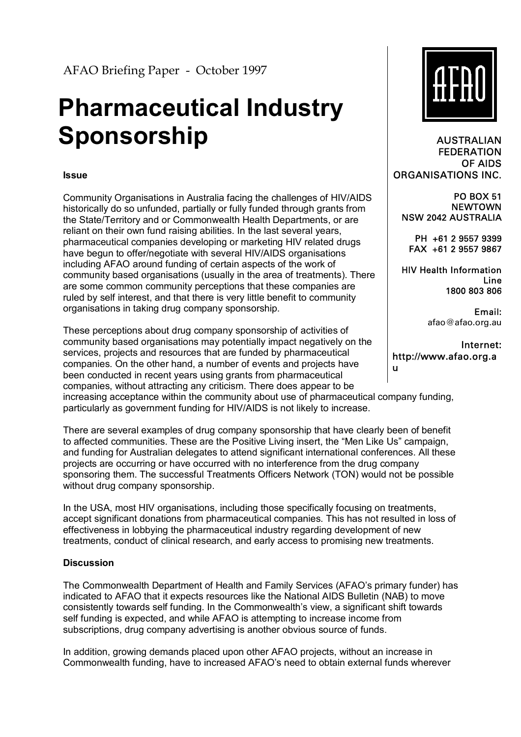AFAO Briefing Paper - October 1997

# **Pharmaceutical Industry Sponsorship**

#### **Issue**

Community Organisations in Australia facing the challenges of HIV/AIDS historically do so unfunded, partially or fully funded through grants from the State/Territory and or Commonwealth Health Departments, or are reliant on their own fund raising abilities. In the last several years, pharmaceutical companies developing or marketing HIV related drugs have begun to offer/negotiate with several HIV/AIDS organisations including AFAO around funding of certain aspects of the work of community based organisations (usually in the area of treatments). There are some common community perceptions that these companies are ruled by self interest, and that there is very little benefit to community organisations in taking drug company sponsorship.

These perceptions about drug company sponsorship of activities of community based organisations may potentially impact negatively on the services, projects and resources that are funded by pharmaceutical companies. On the other hand, a number of events and projects have been conducted in recent years using grants from pharmaceutical companies, without attracting any criticism. There does appear to be increasing acceptance within the community about use of pharmaceutical company funding, particularly as government funding for HIV/AIDS is not likely to increase.

There are several examples of drug company sponsorship that have clearly been of benefit to affected communities. These are the Positive Living insert, the "Men Like Us" campaign, and funding for Australian delegates to attend significant international conferences. All these projects are occurring or have occurred with no interference from the drug company sponsoring them. The successful Treatments Officers Network (TON) would not be possible without drug company sponsorship.

In the USA, most HIV organisations, including those specifically focusing on treatments, accept significant donations from pharmaceutical companies. This has not resulted in loss of effectiveness in lobbying the pharmaceutical industry regarding development of new treatments, conduct of clinical research, and early access to promising new treatments.

#### **Discussion**

The Commonwealth Department of Health and Family Services (AFAO's primary funder) has indicated to AFAO that it expects resources like the National AIDS Bulletin (NAB) to move consistently towards self funding. In the Commonwealth's view, a significant shift towards self funding is expected, and while AFAO is attempting to increase income from subscriptions, drug company advertising is another obvious source of funds.

In addition, growing demands placed upon other AFAO projects, without an increase in Commonwealth funding, have to increased AFAOís need to obtain external funds wherever



AUSTRALIAN **FEDERATION** OF AIDS ORGANISATIONS INC.

PO BOX 51 NEWTOWN NSW 2042 AUSTRALIA

PH +61 2 9557 9399 FAX +61 2 9557 9867

HIV Health Information Line 1800 803 806

> Email: afao@afao.org.au

Internet: http://www.afao.org.a u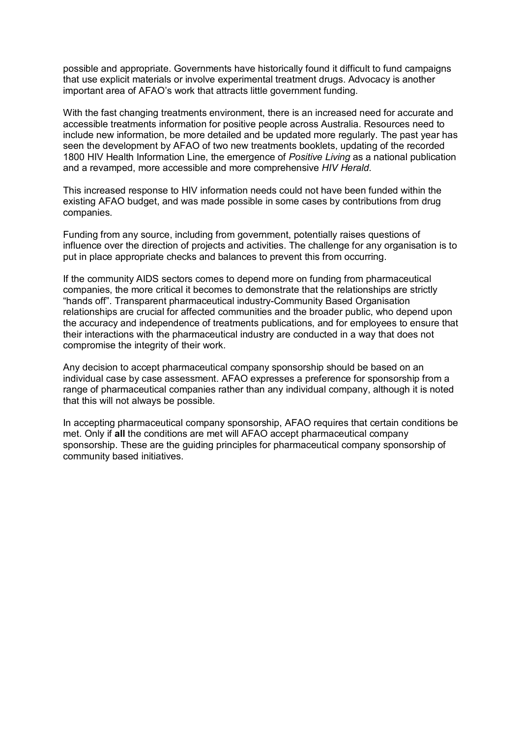possible and appropriate. Governments have historically found it difficult to fund campaigns that use explicit materials or involve experimental treatment drugs. Advocacy is another important area of AFAO's work that attracts little government funding.

With the fast changing treatments environment, there is an increased need for accurate and accessible treatments information for positive people across Australia. Resources need to include new information, be more detailed and be updated more regularly. The past year has seen the development by AFAO of two new treatments booklets, updating of the recorded 1800 HIV Health Information Line, the emergence of *Positive Living* as a national publication and a revamped, more accessible and more comprehensive *HIV Herald*.

This increased response to HIV information needs could not have been funded within the existing AFAO budget, and was made possible in some cases by contributions from drug companies.

Funding from any source, including from government, potentially raises questions of influence over the direction of projects and activities. The challenge for any organisation is to put in place appropriate checks and balances to prevent this from occurring.

If the community AIDS sectors comes to depend more on funding from pharmaceutical companies, the more critical it becomes to demonstrate that the relationships are strictly ìhands offî. Transparent pharmaceutical industry-Community Based Organisation relationships are crucial for affected communities and the broader public, who depend upon the accuracy and independence of treatments publications, and for employees to ensure that their interactions with the pharmaceutical industry are conducted in a way that does not compromise the integrity of their work.

Any decision to accept pharmaceutical company sponsorship should be based on an individual case by case assessment. AFAO expresses a preference for sponsorship from a range of pharmaceutical companies rather than any individual company, although it is noted that this will not always be possible.

In accepting pharmaceutical company sponsorship, AFAO requires that certain conditions be met. Only if **all** the conditions are met will AFAO accept pharmaceutical company sponsorship. These are the guiding principles for pharmaceutical company sponsorship of community based initiatives.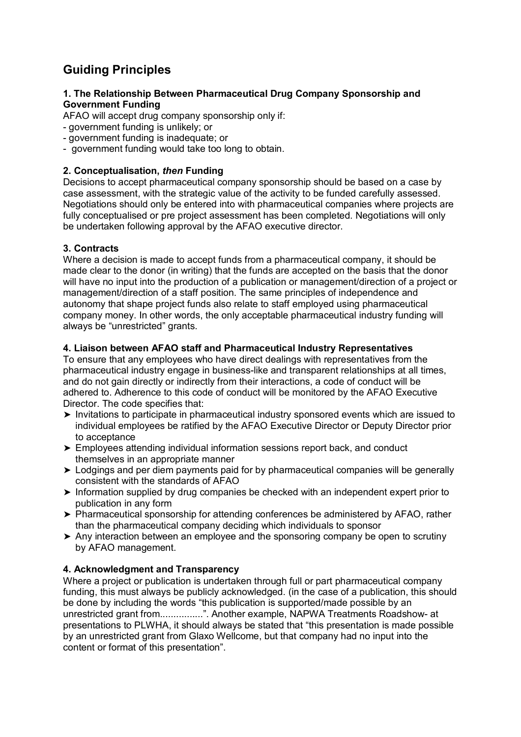# **Guiding Principles**

#### **1. The Relationship Between Pharmaceutical Drug Company Sponsorship and Government Funding**

AFAO will accept drug company sponsorship only if:

- government funding is unlikely; or
- government funding is inadequate; or
- government funding would take too long to obtain.

# **2. Conceptualisation,** *then* **Funding**

Decisions to accept pharmaceutical company sponsorship should be based on a case by case assessment, with the strategic value of the activity to be funded carefully assessed. Negotiations should only be entered into with pharmaceutical companies where projects are fully conceptualised or pre project assessment has been completed. Negotiations will only be undertaken following approval by the AFAO executive director.

# **3. Contracts**

Where a decision is made to accept funds from a pharmaceutical company, it should be made clear to the donor (in writing) that the funds are accepted on the basis that the donor will have no input into the production of a publication or management/direction of a project or management/direction of a staff position. The same principles of independence and autonomy that shape project funds also relate to staff employed using pharmaceutical company money. In other words, the only acceptable pharmaceutical industry funding will always be "unrestricted" grants.

# **4. Liaison between AFAO staff and Pharmaceutical Industry Representatives**

To ensure that any employees who have direct dealings with representatives from the pharmaceutical industry engage in business-like and transparent relationships at all times, and do not gain directly or indirectly from their interactions, a code of conduct will be adhered to. Adherence to this code of conduct will be monitored by the AFAO Executive Director. The code specifies that:

- ➤ Invitations to participate in pharmaceutical industry sponsored events which are issued to individual employees be ratified by the AFAO Executive Director or Deputy Director prior to acceptance
- ➤ Employees attending individual information sessions report back, and conduct themselves in an appropriate manner
- ➤ Lodgings and per diem payments paid for by pharmaceutical companies will be generally consistent with the standards of AFAO
- ➤ Information supplied by drug companies be checked with an independent expert prior to publication in any form
- ➤ Pharmaceutical sponsorship for attending conferences be administered by AFAO, rather than the pharmaceutical company deciding which individuals to sponsor
- ➤ Any interaction between an employee and the sponsoring company be open to scrutiny by AFAO management.

#### **4. Acknowledgment and Transparency**

Where a project or publication is undertaken through full or part pharmaceutical company funding, this must always be publicly acknowledged. (in the case of a publication, this should be done by including the words "this publication is supported/made possible by an unrestricted grant from................î. Another example, NAPWA Treatments Roadshow- at presentations to PLWHA, it should always be stated that "this presentation is made possible" by an unrestricted grant from Glaxo Wellcome, but that company had no input into the content or format of this presentation<sup>"</sup>.